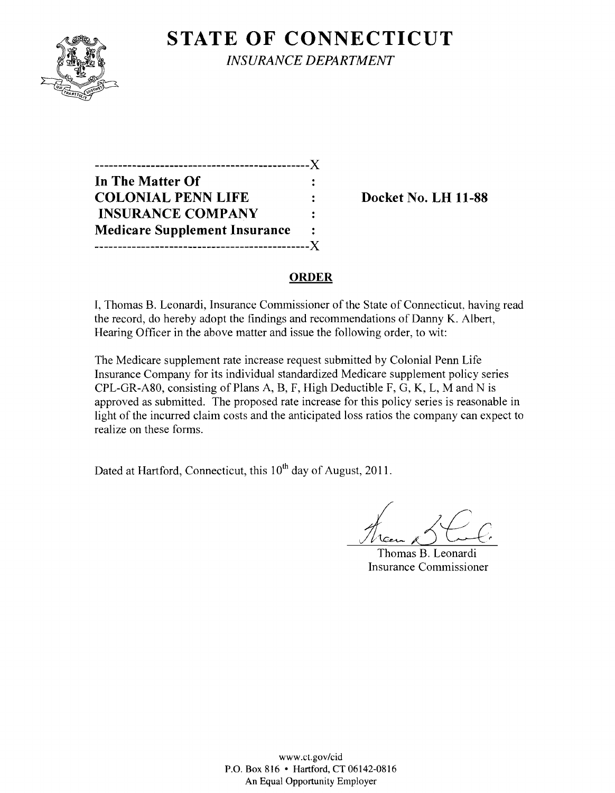**STATE OF CONNECTICUT** *INSURANCE DEPARTMENT* 

| -------------------------            |                      |
|--------------------------------------|----------------------|
| In The Matter Of                     |                      |
| <b>COLONIAL PENN LIFE</b>            |                      |
| <b>INSURANCE COMPANY</b>             | $\ddot{\phantom{a}}$ |
| <b>Medicare Supplement Insurance</b> |                      |
|                                      | $\mathbf{x}$         |

**Docket No. LH 11-88** 

## **ORDER**

I, Thomas B. Leonardi, Insurance Commissioner of the State of Connecticut, having read the record, do hereby adopt the findings and recommendations of Danny K. Albert, Hearing Officer in the above matter and issue the following order, to wit:

The Medicare supplement rate increase request submitted by Colonial Penn Life Insurance Company for its individual standardized Medicare supplement policy series CPL-GR-A80, consisting of Plans A, B, F, High Deductible F, G, K, L, M and N is approved as submitted. The proposed rate increase for this policy series is reasonable in light of the incurred claim costs and the anticipated loss ratios the company can expect to realize on these forms.

Dated at Hartford, Connecticut, this  $10<sup>th</sup>$  day of August, 2011.

Thomas B. Leonardi Insurance Commissioner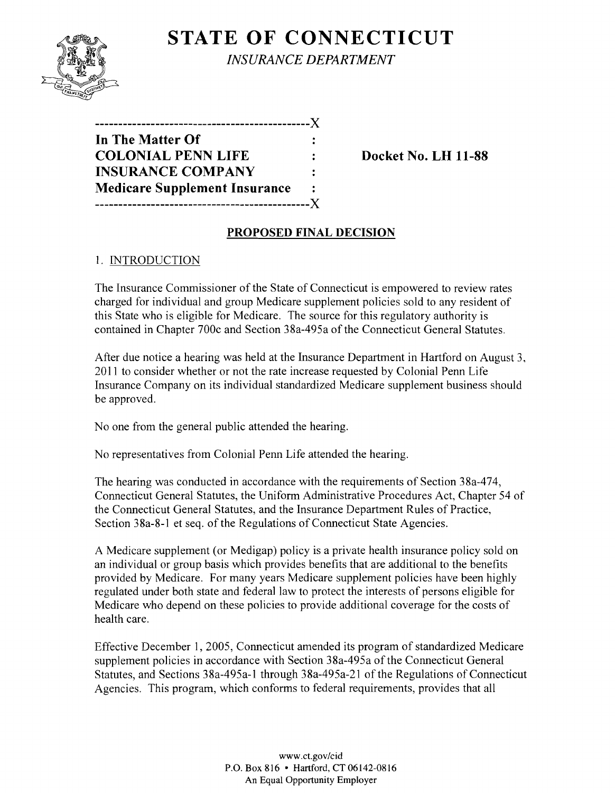

**STATE OF CONNECTICUT** *INSURANCE DEPARTMENT* 

| ------------                         |                |
|--------------------------------------|----------------|
| In The Matter Of                     |                |
| <b>COLONIAL PENN LIFE</b>            |                |
| <b>INSURANCE COMPANY</b>             | $\ddot{\cdot}$ |
| <b>Medicare Supplement Insurance</b> |                |
| ----------------------               | . X .          |

**Docket No. LH 11-88** 

### **PROPOSED FINAL DECISION**

### 1. INTRODUCTION

The Insurance Commissioner of the State of Connecticut is empowered to review rates charged for individual and group Medicare supplement policies sold to any resident of this State who is eligible for Medicare. The source for this regulatory authority is contained in Chapter 700c and Section 38a-495a of the Connecticut General Statutes.

After due notice a hearing was held at the Insurance Department in Hartford on August 3, 2011 to consider whether or not the rate increase requested by Colonial Penn Life Insurance Company on its individual standardized Medicare supplement business should be approved.

No one from the general public attended the hearing.

No representatives from Colonial Penn Life attended the hearing.

The hearing was conducted in accordance with the requirements of Section 38a-474, Connecticut General Statutes, the Uniform Administrative Procedures Act, Chapter 54 of the Connecticut General Statutes, and the Insurance Department Rules of Practice, Section 38a-8-I et seq. of the Regulations of Connecticut State Agencies.

A Medicare supplement (or Medigap) policy is a private health insurance policy sold on an individual or group basis which provides benefits that are additional to the benefits provided by Medicare. For many years Medicare supplement policies have been highly regulated under both state and federal law to protect the interests of persons eligible for Medicare who depend on these policies to provide additional coverage for the costs of health care.

Effective December 1, 2005, Connecticut amended its program of standardized Medicare supplement policies in accordance with Section 38a-495a of the Connecticut General Statutes, and Sections 38a-495a-I through 38a-495a-2I of the Regulations of Connecticut Agencies. This program, which conforms to federal requirements, provides that all

> www.ct.gov/cid P.O. Box 816 • Hartford, CT 06142-0816 An Equal Opportunity Employer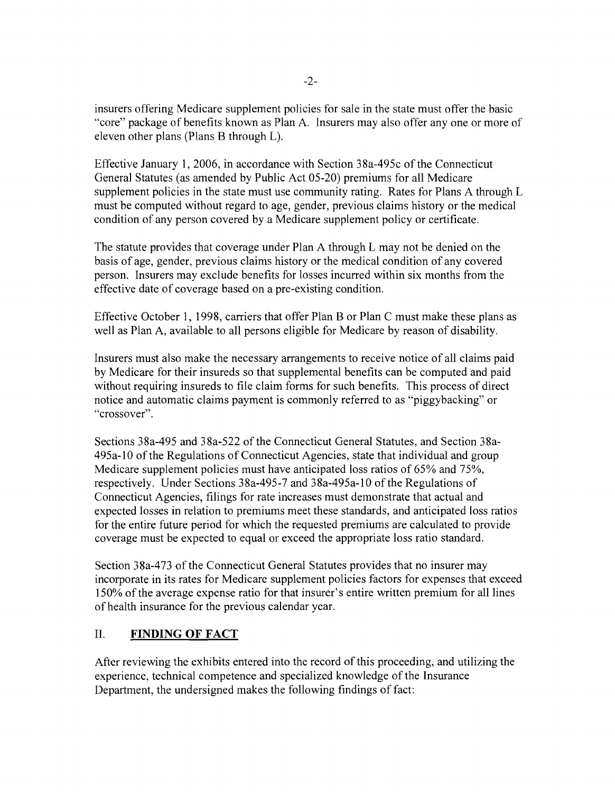insurers offering Medicare supplement policies for sale in the state must offer the basic "core" package of benefits known as Plan A. Insurers may also offer anyone or more of eleven other plans (Plans B through L).

Effective January 1,2006, in accordance with Section 38a-495c of the Connecticut General Statutes (as amended by Public Act 05-20) premiums for all Medicare supplement policies in the state must use community rating. Rates for Plans A through L must be computed without regard to age, gender, previous claims history or the medical condition of any person covered by a Medicare supplement policy or certificate.

The statute provides that coverage under Plan A through L may not be denied on the basis of age, gender, previous claims history or the medical condition of any covered person. Insurers may exclude benefits for losses incurred within six months from the effective date of coverage based on a pre-existing condition.

Effective October 1, 1998, carriers that offer Plan B or Plan C must make these plans as well as Plan A, available to all persons eligible for Medicare by reason of disability.

Insurers must also make the necessary arrangements to receive notice of all claims paid by Medicare for their insureds so that supplemental benefits can be computed and paid without requiring insureds to file claim forms for such benefits. This process of direct notice and automatic claims payment is commonly referred to as "piggybacking" or "crossover".

Sections 38a-495 and 38a-522 of the Connecticut General Statutes, and Section 38a-495a-l0 of the Regulations of Connecticut Agencies, state that individual and group Medicare supplement policies must have anticipated loss ratios of 65% and 75%, respectively. Under Sections 38a-495-7 and 38a-495a-l0 of the Regulations of Connecticut Agencies, filings for rate increases must demonstrate that actual and expected losses in relation to premiums meet these standards, and anticipated loss ratios for the entire future period for which the requested premiums are calculated to provide coverage must be expected to equal or exceed the appropriate loss ratio standard.

Section 38a-473 of the Connecticut General Statutes provides that no insurer may incorporate in its rates for Medicare supplement policies factors for expenses that exceed 150% of the average expense ratio for that insurer's entire written premium for all lines of health insurance for the previous calendar year.

# II. **FINDING OF FACT**

After reviewing the exhibits entered into the record of this proceeding, and utilizing the experience, technical competence and specialized knowledge of the Insurance Department, the undersigned makes the following findings of fact: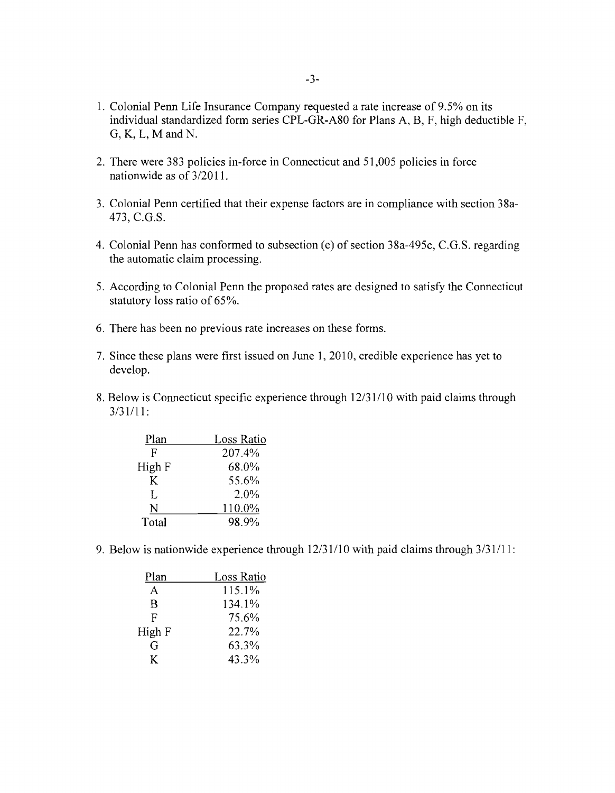- 1. Colonial Penn Life Insurance Company requested a rate increase of 9.5% on its individual standardized form series CPL-GR-A80 for Plans A, B, F, high deductible F, G, K, L, M and N.
- 2. There were 383 policies in-force in Connecticut and 51,005 policies in force nationwide as of 3/20 11.
- 3. Colonial Penn certified that their expense factors are in compliance with section 38a-473, C.G.S.
- 4. Colonial Penn has conformed to subsection (e) of section 38a-495c, C.G.S. regarding the automatic claim processing.
- 5. According to Colonial Penn the proposed rates are designed to satisfy the Connecticut statutory loss ratio of 65%.
- 6. There has been no previous rate increases on these forms.
- 7. Since these plans were first issued on June 1, 2010, credible experience has yet to develop.
- 8. Below is Connecticut specific experience through 12/31/10 with paid claims through 3/31/11:

| Plan   | Loss Ratio |
|--------|------------|
| F      | 207.4%     |
| High F | 68.0%      |
| K      | 55.6%      |
| I.     | 2.0%       |
| N      | 110.0%     |
| Total  | 98.9%      |

9. Below is nationwide experience through 12/31/10 with paid claims through 3/31/11:

| Plan   | Loss Ratio |
|--------|------------|
| A      | 115.1%     |
| R      | 134.1%     |
| F      | 75.6%      |
| High F | 22.7%      |
| G      | 63.3%      |
| K      | 43.3%      |